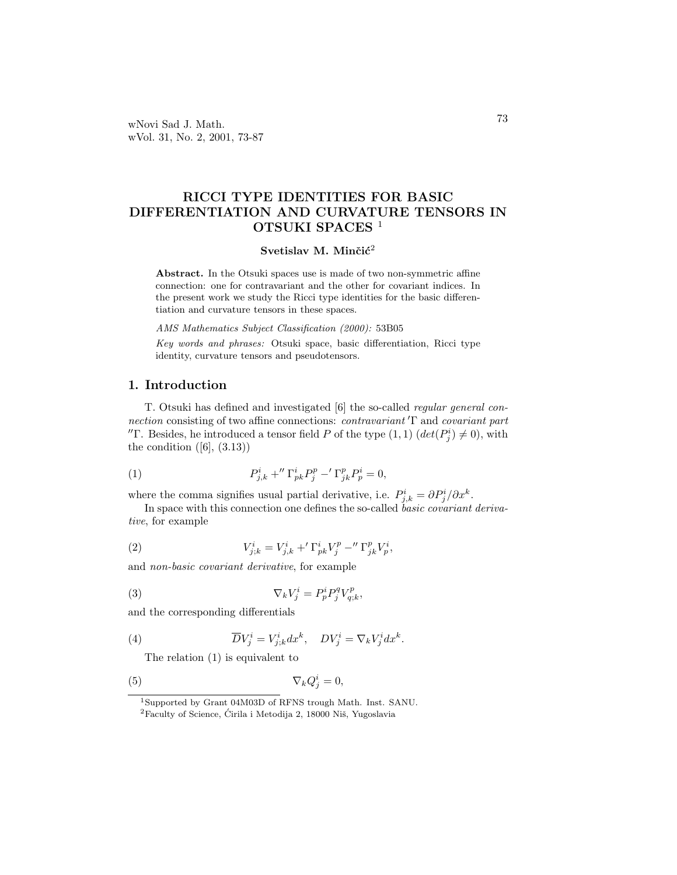# RICCI TYPE IDENTITIES FOR BASIC DIFFERENTIATION AND CURVATURE TENSORS IN OTSUKI SPACES<sup>1</sup>

### Svetislav M. Minčić<sup>2</sup>

Abstract. In the Otsuki spaces use is made of two non-symmetric affine connection: one for contravariant and the other for covariant indices. In the present work we study the Ricci type identities for the basic differentiation and curvature tensors in these spaces.

AMS Mathematics Subject Classification (2000): 53B05

Key words and phrases: Otsuki space, basic differentiation, Ricci type identity, curvature tensors and pseudotensors.

## 1. Introduction

T. Otsuki has defined and investigated [6] the so-called regular general connection consisting of two affine connections: *contravariant*  $\Gamma$  and *covariant part* "T. Besides, he introduced a tensor field P of the type  $(1,1)$   $(det(P_j^i) \neq 0)$ , with the condition  $([6], (3.13))$ 

(1) 
$$
P_{j,k}^{i} +'' \Gamma_{pk}^{i} P_{j}^{p} -' \Gamma_{jk}^{p} P_{p}^{i} = 0,
$$

where the comma signifies usual partial derivative, i.e.  $P^i_{j,k} = \partial P^i_j / \partial x^k$ .

In space with this connection one defines the so-called *basic covariant deriva*tive, for example

(2) 
$$
V_{j,k}^i = V_{j,k}^i +' \Gamma_{pk}^i V_j^p -'' \Gamma_{jk}^p V_p^i,
$$

and non-basic covariant derivative, for example

(3) 
$$
\nabla_k V^i_j = P^i_p P^q_j V^p_{q;k},
$$

and the corresponding differentials

(4) 
$$
\overline{D}V_j^i = V_{j;k}^i dx^k, \quad DV_j^i = \nabla_k V_j^i dx^k.
$$

The relation (1) is equivalent to

$$
\nabla_k Q^i_j = 0,
$$

<sup>1</sup>Supported by Grant 04M03D of RFNS trough Math. Inst. SANU.  ${}^{2}\mathrm{Faculty}$  of Science, Ćirila i Metodija 2, 18000 Niš, Yugoslavia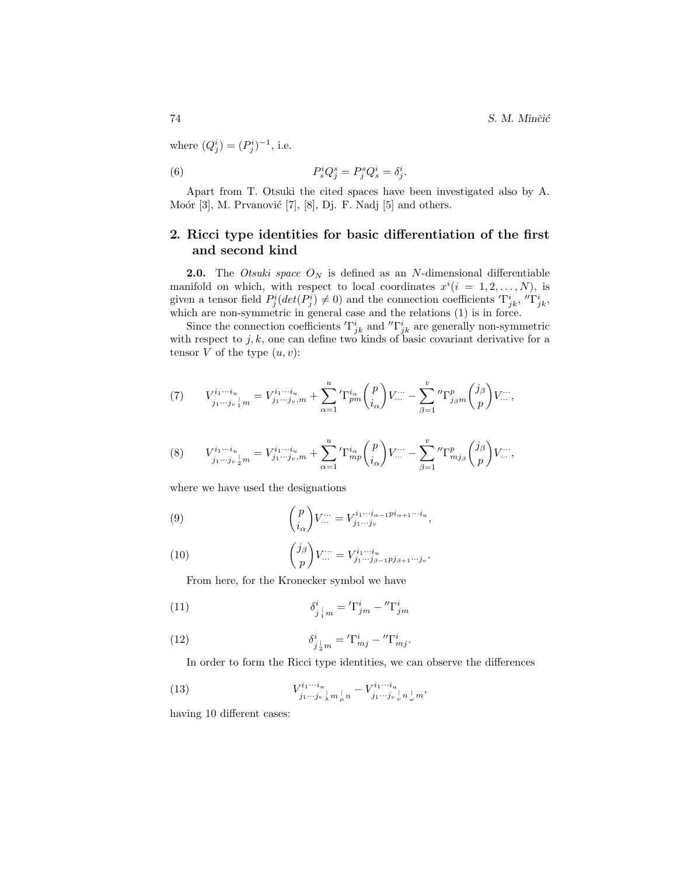74 S. M. Minčić

where  $(Q_j^i) = (P_j^i)^{-1}$ , i.e.

(6) 
$$
P_s^i Q_j^s = P_j^s Q_s^i = \delta_j^i.
$$

Apart from T. Otsuki the cited spaces have been investigated also by A. Moór  $[3]$ , M. Prvanović  $[7]$ ,  $[8]$ , Dj. F. Nadj  $[5]$  and others.

### 2. Ricci type identities for basic differentiation of the first and second kind

**2.0.** The Otsuki space  $O<sub>N</sub>$  is defined as an N-dimensional differentiable manifold on which, with respect to local coordinates  $x^{i}(i = 1, 2, ..., N)$ , is given a tensor field  $P_j^i(det(P_j^i) \neq 0)$  and the connection coefficients  $T_{jk}^i$ ,  ${}''\Gamma_{jk}^i$ , which are non-symmetric in general case and the relations (1) is in force.

Since the connection coefficients  $\Gamma^i_{jk}$  and  ${}''\Gamma^i_{jk}$  are generally non-symmetric with respect to  $j, k$ , one can define two kinds of basic covariant derivative for a tensor V of the type  $(u, v)$ :

(7) 
$$
V_{j_1 \cdots j_v}^{i_1 \cdots i_u} = V_{j_1 \cdots j_v, m}^{i_1 \cdots i_u} + \sum_{\alpha=1}^u {}' \Gamma_{pm}^{i_\alpha} {p \choose i_\alpha} V \cdots - \sum_{\beta=1}^v {}'' \Gamma_{j_\beta m}^p {j_\beta \choose p} V \cdots,
$$

$$
(8) \tV^{i_{1}\cdots i_{u}}_{j_{1}\cdots j_{v}\frac{1}{2}m} = V^{i_{1}\cdots i_{u}}_{j_{1}\cdots j_{v},m} + \sum_{\alpha=1}^{u}{}' \Gamma^{i_{\alpha}}_{mp} {p \choose i_{\alpha}} V \cdots - \sum_{\beta=1}^{v}{}'' \Gamma^{p}_{mj_{\beta}} {j_{\beta} \choose p} V \cdots,
$$

where we have used the designations

(9) 
$$
\binom{p}{i_{\alpha}}V^{\cdots}_{\cdots}=V^{i_{1}\cdots i_{\alpha-1}p i_{\alpha+1}\cdots i_{u}}_{j_{1}\cdots j_{v}},
$$

(10) 
$$
\begin{pmatrix} j_{\beta} \\ p \end{pmatrix} V_{\cdots}^{\cdots} = V_{j_1 \cdots j_{\beta-1} p j_{\beta+1} \cdots j_v}^{i_1 \cdots i_u}.
$$

From here, for the Kronecker symbol we have

(11) 
$$
\delta^i_{j \, \vert \, m} = \mathrm{T}^i_{jm} - \mathrm{T}^i_{jm}
$$

(12) 
$$
\delta^i_{j\,j\,m} = \mathrm{T}^i_{mj} - \mathrm{T}^i_{mj}.
$$

In order to form the Ricci type identities, we can observe the differences

(13) 
$$
V^{i_1...i_u}_{j_1...j_v} \big|_{m \atop \mu} n^{-} - V^{i_1...i_u}_{j_1...j_v} \big|_{n \atop \omega} n \big|_{m},
$$

having 10 different cases: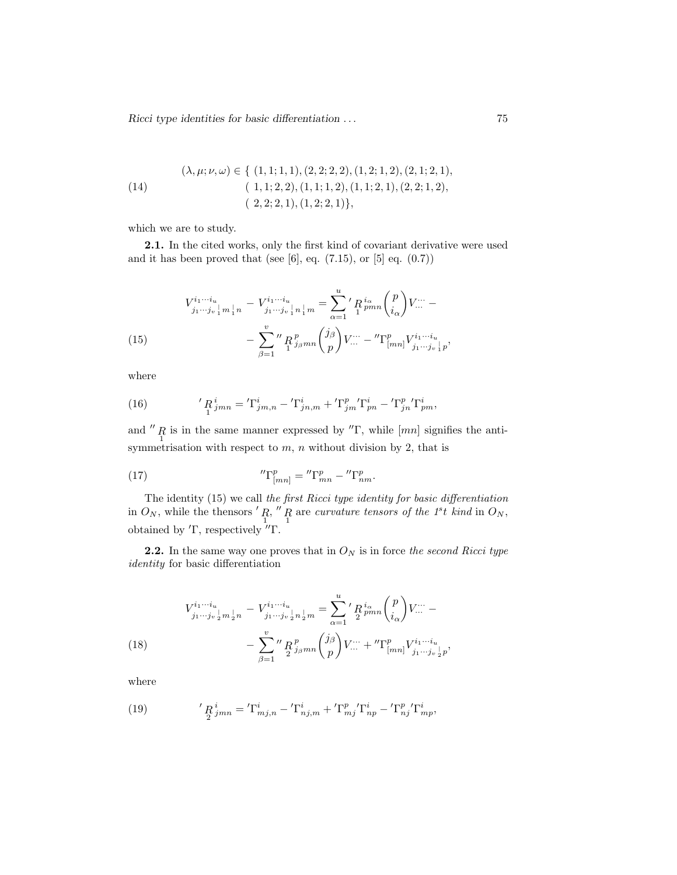Ricci type identities for basic differentiation . . .  $\hspace{1.5cm}$  75

(14)  
\n
$$
(\lambda, \mu; \nu, \omega) \in \{ (1, 1; 1, 1), (2, 2; 2, 2), (1, 2; 1, 2), (2, 1; 2, 1), (1, 1; 2, 2), (1, 1; 1, 2), (1, 1; 2, 1), (2, 2; 1, 2), (2, 2; 2, 1), (1, 2; 2, 1) \},
$$

which we are to study.

2.1. In the cited works, only the first kind of covariant derivative were used and it has been proved that (see  $[6]$ , eq.  $(7.15)$ , or  $[5]$  eq.  $(0.7)$ )

(15) 
$$
V_{j_1\cdots j_v}^{i_1\cdots i_u}|_{m} \Big|_{n} - V_{j_1\cdots j_v}^{i_1\cdots i_u}|_{n} \Big|_{m} = \sum_{\alpha=1}^{u} \left\langle R \frac{i_{\alpha}}{1} p_{mn} \binom{p}{i_{\alpha}} V_{\cdots}^{\cdots} - \sum_{\beta=1}^{v} \left\langle R \frac{i_{\beta}}{1} p_{mn} \binom{j_{\beta}}{p} V_{\cdots}^{\cdots} - \left\langle R \frac{i_{\alpha}}{1} p_{mn} \right\rangle \right\rangle \right\|_{m}
$$
\n
$$
+ \sum_{\beta=1}^{v} \left\langle R \frac{i_{\beta}}{1} p_{mn} \binom{j_{\beta}}{p} V_{\cdots}^{\cdots} - \left\langle R \frac{i_{\alpha}}{1} p_{mn} \right\rangle \right\rangle
$$

where

(16) 
$$
{}^{'}R^{i}_{1}{}^{j}_{mn} = {}^{'}\Gamma^{i}_{j}{}^{m}_{m} - {}^{'}\Gamma^{i}_{j}{}^{m}_{m} + {}^{'}\Gamma^{p}_{jm} {}^{'}\Gamma^{i}_{pn} - {}^{'}\Gamma^{p}_{jn} {}^{'}\Gamma^{i}_{pm},
$$

and  $''R$  is in the same manner expressed by  $''\Gamma$ , while  $[mn]$  signifies the antisymmetrisation with respect to  $m$ ,  $n$  without division by 2, that is

(17) 
$$
{}^{\prime\prime}\Gamma^p_{[mn]} = {}^{\prime\prime}\Gamma^p_{mn} - {}^{\prime\prime}\Gamma^p_{nm}.
$$

The identity (15) we call the first Ricci type identity for basic differentiation in  $O_N$ , while the thensors  $\binom{R}{1}$ ,  $\binom{R}{1}$  are curvature tensors of the 1<sup>s</sup>t kind in  $O_N$ , obtained by  $\Gamma$ , respectively  $\Gamma$ .

**2.2.** In the same way one proves that in  $O<sub>N</sub>$  is in force the second Ricci type identity for basic differentiation

(18) 
$$
V_{j_1 \cdots j_v}^{i_1 \cdots i_u}{}_{j_1 \cdots j_v}^{i_1 \cdots i_u} - V_{j_1 \cdots j_v}^{i_1 \cdots i_u}{}_{j_1 \cdots j_v}^{i_1 \cdots i_u} = \sum_{\alpha=1}^u' P_{j \ p m n}^{i_\alpha} {p \choose i_\alpha} V \cdots - \sum_{\beta=1}^v'' P_{j \beta}^p{}_{j_1 \cdots j_v} {j_\beta} V \cdots +'' \Gamma_{[mn]}^p V_{j_1 \cdots j_v}^{i_1 \cdots i_u}{}_{j_1 \cdots j_v}^{i_1 \cdots i_u}
$$

where

(19) 
$$
{}^{'}R^{i}_{2}{}^{j}_{mn} = {}^{'}\Gamma^{i}_{mj,n} - {}^{'}\Gamma^{i}_{nj,m} + {}^{'}\Gamma^{p}_{mj}{}^{'}\Gamma^{i}_{np} - {}^{'}\Gamma^{p}_{nj}{}^{'}\Gamma^{i}_{mp},
$$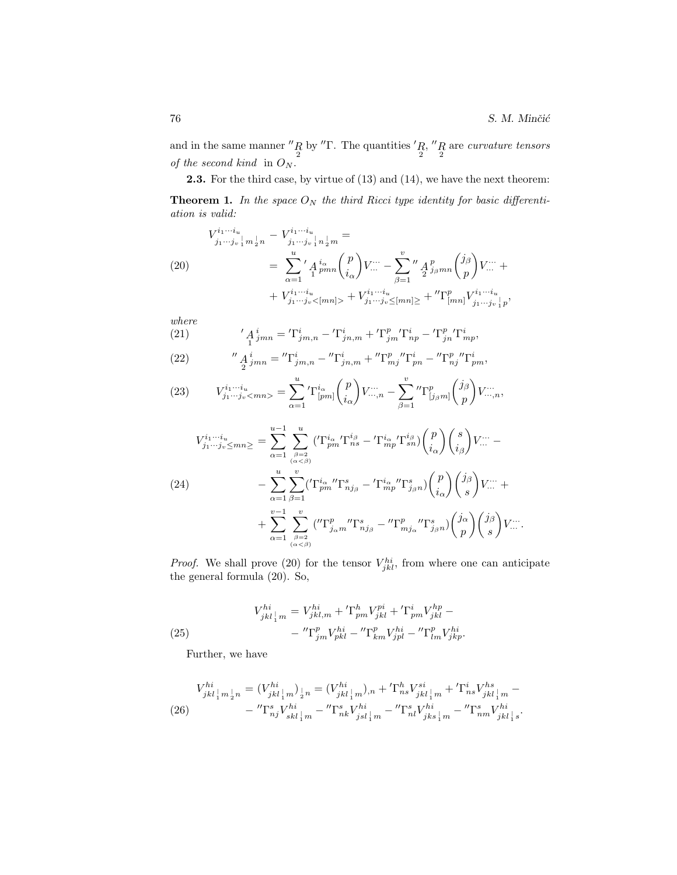and in the same manner  $''R$  by "T. The quantities  $'R,''R$  are *curvature tensors* of the second kind in  $O_N$ .

2.3. For the third case, by virtue of (13) and (14), we have the next theorem:

**Theorem 1.** In the space  $O_N$  the third Ricci type identity for basic differentiation is valid:

$$
V^{i_1\cdots i_u}_{j_1\cdots j_v} \big|_{m_2\atop n} - V^{i_1\cdots i_u}_{j_1\cdots j_v} \big|_{n_2\atop n} =
$$
\n
$$
(20) \qquad = \sum_{\alpha=1}^u {}'_{1} \Lambda^{i_{\alpha}}_{pmn} {p \choose i_{\alpha}} V^{\cdots}_{\cdots} - \sum_{\beta=1}^v {}''_{2} \Lambda^{p}_{\beta mn} {j_{\beta}} V^{\cdots}_{\cdots} +
$$
\n
$$
+ V^{i_1\cdots i_u}_{j_1\cdots j_v < [mn]} + V^{i_1\cdots i_u}_{j_1\cdots j_v \le [mn]} + {}''\Gamma^{p}_{[mn]} V^{i_1\cdots i_u}_{j_1\cdots j_v \cdot j_p},
$$

where

(21) 
$$
\int_{1}^{i} \mathbf{A}_{jmn}^{i} = \mathbf{T}_{jmn,n}^{i} - \mathbf{T}_{jn,m}^{i} + \mathbf{T}_{jm}^{p} \mathbf{T}_{np}^{i} - \mathbf{T}_{jn}^{p} \mathbf{T}_{mp}^{i},
$$

(22) 
$$
{}^{''}A^{i}_{2\,jmn} = {}^{''}\Gamma^{i}_{jm,n} - {}^{''}\Gamma^{i}_{jn,m} + {}^{''}\Gamma^{p}_{mj} {}^{''}\Gamma^{i}_{pn} - {}^{''}\Gamma^{p}_{nj} {}^{''}\Gamma^{i}_{pm},
$$

(23) 
$$
V_{j_1...j_v < mn}^{i_1...i_u} = \sum_{\alpha=1}^{u} {}' \Gamma^{i_\alpha}_{[pm]} {p \choose i_\alpha} V_{...n}^{...} - \sum_{\beta=1}^{v} {}'' \Gamma^{p}_{[j_\beta m]} {j_\beta \choose p} V_{...n}^{...},
$$

$$
V_{j_1\cdots j_v \le mn}^{i_1\cdots i_u} = \sum_{\alpha=1}^{u-1} \sum_{\substack{\beta=2 \ \alpha=1}}^{u} ({}^{\prime}\Gamma_{pm}^{i_{\alpha}}{}^{\prime}\Gamma_{ns}^{i_{\beta}} - {}^{\prime}\Gamma_{mp}^{i_{\alpha}}{}^{\prime}\Gamma_{sn}^{i_{\beta}}) \binom{p}{i_{\alpha}} \binom{s}{i_{\beta}} V_{\cdots}^{...} - \sum_{\alpha=1}^{u} \sum_{\beta=1}^{v} ({}^{\prime}\Gamma_{pm}^{i_{\alpha}}{}^{\prime\prime}\Gamma_{nj_{\beta}}^{s} - {}^{\prime}\Gamma_{mp}^{i_{\alpha}}{}^{\prime\prime}\Gamma_{j_{\beta}n}^{s}) \binom{p}{i_{\alpha}} \binom{j_{\beta}}{s} V_{\cdots}^{...} + \sum_{\alpha=1}^{v-1} \sum_{\substack{\beta=2 \ \alpha<\beta}}^{v} ({}^{\prime\prime}\Gamma_{j_{\alpha}m}^{p}{}^{\prime\prime}\Gamma_{nj_{\beta}}^{s} - {}^{\prime\prime}\Gamma_{mj_{\alpha}}^{p}{}^{\prime\prime}\Gamma_{j_{\beta}n}^{s}) \binom{j_{\alpha}}{p} \binom{j_{\beta}}{s} V_{\cdots}^{...}.
$$

*Proof.* We shall prove (20) for the tensor  $V_{jkl}^{hi}$ , from where one can anticipate the general formula (20). So,

(25) 
$$
V_{jkl\,|\,m}^{hi} = V_{jkl,m}^{hi} + {}^{'}\Gamma_{pm}^{h}V_{jkl}^{pi} + {}^{'}\Gamma_{pm}^{i}V_{jkl}^{hp} - {}^{'}\Gamma_{jm}^{p}V_{jkl}^{hi} - {}^{''}\Gamma_{lm}^{p}V_{jkl}^{hi} - {}^{''}\Gamma_{lm}^{p}V_{jkp}^{hi}.
$$

Further, we have

$$
V_{jkl\,|\,m\,j\,n}^{hi} = (V_{jkl\,|\,m}^{hi})_{\frac{1}{2}n} = (V_{jkl\,|\,m}^{hi})_{,n} + ' \Gamma_{ns}^h V_{jkl\,|\,m}^{si} + ' \Gamma_{ns}^i V_{jkl\,|\,m}^{hs} -
$$
  
(26) 
$$
- " \Gamma_{nj}^s V_{skl\,|\,m}^{hi} - " \Gamma_{nk}^s V_{jsl\,|\,m}^{hi} - " \Gamma_{nl}^s V_{jks\,|\,m}^{hi} - " \Gamma_{nm}^s V_{jkl\,|\,s}^{hi}.
$$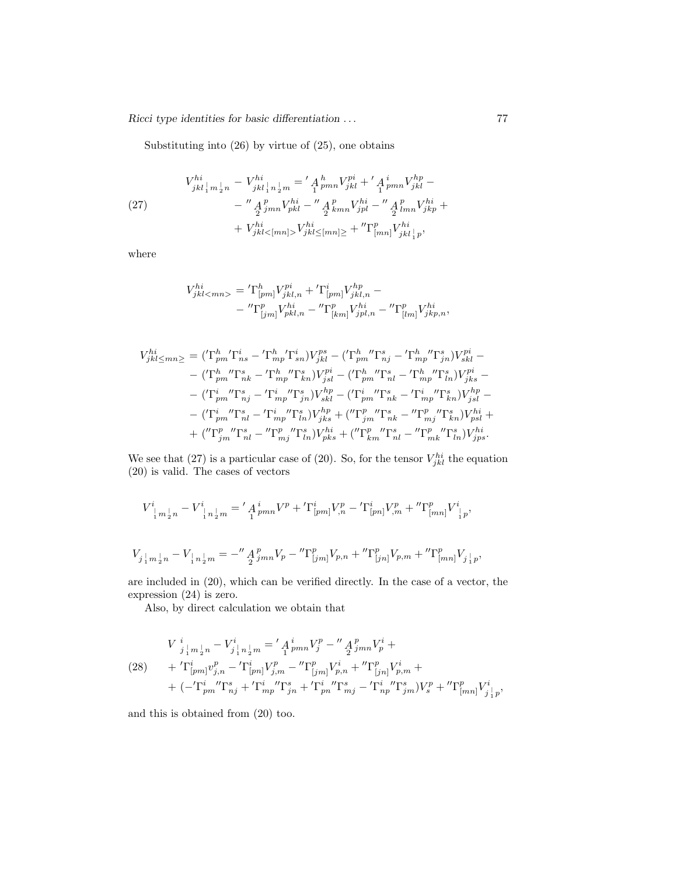Ricci type identities for basic differentiation . . . 77

Substituting into (26) by virtue of (25), one obtains

(27) 
$$
V_{jkl\,|\,m\,j\,n}^{hi} - V_{jkl\,|\,n\,j\,m}^{hi} = 'A_{1\,pmn}^{h}V_{jkl}^{pi} + 'A_{1\,pmn}^{i}V_{jkl}^{hp} -
$$

$$
- ''A_{2\,jmn}^{p}V_{pkl}^{hi} - ''A_{2\,kmn}^{p}V_{jpl}^{hi} - ''A_{2\,lmn}^{p}V_{jkp}^{hi} +
$$

$$
+ V_{jkl\leq [mn] > V_{jkl\leq [mn] \geq}^{hi} + ''\Gamma_{[mn]}^{p}V_{jkl\,|\,p}^{hi},
$$

where

$$
V_{jkl}^{hi} = {}^{'}\Gamma^{h}_{[pm]}V_{jkl,n}^{pi} + {}^{'}\Gamma^{i}_{[pm]}V_{jkl,n}^{hp} -
$$
  

$$
- {}^{'}\Gamma^{p}_{[jm]}V_{pkl,n}^{hi} - {}^{'}\Gamma^{p}_{[km]}V_{jpl,n}^{hi} - {}^{'}\Gamma^{p}_{[lm]}V_{jkp,n}^{hi},
$$

$$
V_{jkl\le mn}^{hi} \geq = \left\langle T_{pm}^{h}{}^{'}\Gamma_{ns}^{i} - T_{mp}^{h}{}^{'}\Gamma_{sn}^{i}\right\rangle V_{jkl}^{ps} - \left\langle T_{pm}^{h}{}^{''}\Gamma_{nj}^{s} - T_{mp}^{h}{}^{''}\Gamma_{jn}^{s}\right\rangle V_{skl}^{pi} - \right.
$$
  
\n
$$
- \left\langle T_{pm}^{h}{}^{''}\Gamma_{nk}^{s} - T_{mp}^{h}{}^{''}\Gamma_{kn}^{s}\right\rangle V_{jsl}^{pi} - \left\langle T_{pm}^{h}{}^{''}\Gamma_{nl}^{s} - T_{mp}^{h}{}^{''}\Gamma_{ln}^{s}\right\rangle V_{jks}^{pi} - \right.
$$
  
\n
$$
- \left\langle T_{pm}^{i}{}^{''}\Gamma_{nj}^{s} - T_{mp}^{i}{}^{''}\Gamma_{jn}^{s}\right\rangle V_{skl}^{hp} - \left\langle T_{pm}^{i}{}^{''}\Gamma_{nk}^{s} - T_{mp}^{i}{}^{''}\Gamma_{kn}^{s}\right\rangle V_{jsl}^{hp} - \right.
$$
  
\n
$$
- \left\langle T_{pm}^{i}{}^{''}\Gamma_{nl}^{s} - T_{mp}^{i}{}^{''}\Gamma_{ln}^{s}\right\rangle V_{jks}^{hp} + \left\langle T_{pm}^{p}{}^{''}\Gamma_{nk}^{s} - T_{mp}^{p}{}^{''}\Gamma_{kn}^{s}\right\rangle V_{psl}^{hi} + \right.
$$
  
\n
$$
+ \left\langle T_{pm}^{p}{}^{''}\Gamma_{nl}^{s} - T_{mp}^{p}{}^{''}\Gamma_{ln}^{s}\right\rangle V_{pks}^{hi} + \left\langle T_{km}^{p}{}^{''}\Gamma_{nl}^{s} - T_{mk}^{p}{}^{'}\Gamma_{ln}^{s}\right\rangle V_{pjs}^{hi}.
$$

We see that (27) is a particular case of (20). So, for the tensor  $V_{jkl}^{hi}$  the equation (20) is valid. The cases of vectors

$$
\begin{array}{c} \boldsymbol{V^i_{\perp m \: \frac{1}{2}n}} - \boldsymbol{V^i_{\perp n \: \frac{1}{2}m}} = \frac{ \prime }{4} \frac{i}{p m n} \boldsymbol{V^p} + \frac{ \prime }{ \Gamma^i_{[p m]} V^p_{,n}} - \frac{ \prime }{ \Gamma^i_{[p n]} V^p_{,m}} + \frac{ \prime }{ \Gamma^p_{[m n]} V^i_{\perp p} }, \\ \\ \boldsymbol{V_{j \: \frac{1}{2}m \: \frac{1}{2}n}} - \boldsymbol{V_{\perp n \: \frac{1}{2}m}} = - \frac{ \prime }{2} \frac{ \boldsymbol{P}_{j m n} }{j m n} \boldsymbol{V_p} - \frac{ \prime }{ \Gamma^p_{[j m]} V_{p,n}} + \frac{ \prime }{ \Gamma^p_{[j n]} V_{p,m}} + \frac{ \prime }{ \Gamma^p_{[m n]} V_{j \: \perp p} }, \end{array}
$$

are included in (20), which can be verified directly. In the case of a vector, the expression (24) is zero.

Also, by direct calculation we obtain that

$$
V_{j_{1}^{1}m_{2}^{1}n} - V_{j_{1}^{1}n_{2}^{1}m}^{i} = '{}_{1}^{4}{}_{pmn}V_{j}^{p} - ''{}_{2}^{4}{}_{jmn}V_{p}^{i} +
$$
  
\n(28) + 'Γ<sub>[pm]</sub> $v_{j,n}^{p} - 'Γ_{[pn]}^{i}V_{j,m}^{p} - ''Γ_{[jm]}V_{p,n}^{i} + ''Γ_{[jn]}^{p}V_{p,m}^{i} +$   
\n+ (-'T<sub>pm</sub><sup>i</sup> "T<sub>nj</sub><sup>s</sup> + 'T<sub>mp</sub><sup>i</sup> "T<sub>jn</sub><sup>s</sup> + 'T<sub>pm</sub><sup>i</sup> "T<sub>mj</sub><sup>s</sup> - 'T<sub>np</sub><sup>i</sup> "T<sub>jm</sub><sup>s</sup>) $V_{s}^{p} + ''Γ_{[mn]}^{p}V_{j_{1}^{1}p}^{i},$ 

and this is obtained from (20) too.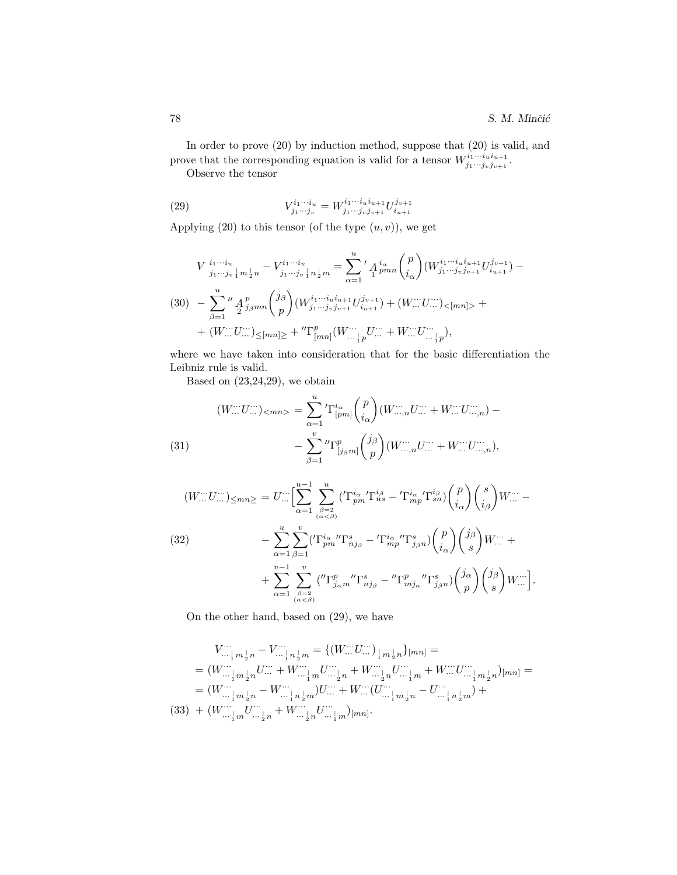In order to prove (20) by induction method, suppose that (20) is valid, and prove that the corresponding equation is valid for a tensor  $W_{i_1, i_2, j_3, j_4}^{i_1 \cdots i_u i_{u+1}}$  $\frac{i_1\cdots i_u i_{u+1}}{j_1\cdots j_v j_{v+1}}.$ 

Observe the tensor

(29) 
$$
V_{j_1...j_v}^{i_1...i_u} = W_{j_1...j_vj_{v+1}}^{i_1...i_{ui+1}} U_{i_{u+1}}^{j_{v+1}}
$$

Applying  $(20)$  to this tensor (of the type  $(u, v)$ ), we get

$$
V_{j_1\cdots j_v}^{i_1\cdots i_u}{}_1 m_{j_1}^{j_1} - V_{j_1\cdots j_v}^{i_1\cdots i_u}{}_1 n_{j_2}^{j_2} = \sum_{\alpha=1}^u' A_{pmn}^{i_\alpha} {p \choose i_\alpha} (W_{j_1\cdots j_vj_{v+1}}^{i_1\cdots i_u i_{u+1}} U_{i_{u+1}}^{j_{v+1}}) -
$$
  
\n(30) 
$$
- \sum_{\beta=1}^u'' A_{j_\beta mn}^p {j_\beta \choose p} (W_{j_1\cdots j_vj_{v+1}}^{i_1\cdots i_u i_{u+1}} U_{i_{u+1}}^{j_{v+1}}) + (W_{\cdots}^{\cdots} U_{\cdots}^{\cdots})_{\leq [mn] > +}
$$
  
\n+ (W\_{\cdots}^{\cdots} U\_{\cdots}^{\cdots})\_{\leq [mn] \geq} +'' \Gamma\_{[mn]}^p (W\_{\cdots}^{\cdots} U\_{\cdots}^{\cdots} U\_{\cdots}^{\cdots} U\_{\cdots}^{\cdots}]\_p),

where we have taken into consideration that for the basic differentiation the Leibniz rule is valid.

Based on  $(23,24,29)$ , we obtain

(31)  
\n
$$
(W...U...)_{} = \sum_{\alpha=1}^{u} {}' \Gamma^{i_{\alpha}}_{[pm]} \binom{p}{i_{\alpha}} (W..._{,n}U... + W...U..._{,n}) -
$$
\n
$$
- \sum_{\beta=1}^{v} {}'' \Gamma^{p}_{[j_{\beta}m]} \binom{j_{\beta}}{p} (W..._{,n}U... + W...U..._{,n}),
$$

$$
(W\cdots U\cdots)\leq_{mn\geq} = U\cdots\Big[\sum_{\alpha=1}^{u-1}\sum_{\substack{\beta=2 \ \alpha<\beta}}^{u}({}^{\prime}\Gamma_{pm}^{i_{\alpha}}{'}\Gamma_{ns}^{i_{\beta}} - {}^{\prime}\Gamma_{mp}^{i_{\alpha}}{'}\Gamma_{sn}^{i_{\beta}}){\binom{p}{i_{\alpha}}}\binom{s}{i_{\beta}}W\cdots - \sum_{\alpha=1}^{u}\sum_{\beta=1}^{v}({}^{\prime}\Gamma_{pm}^{i_{\alpha}}{'}\Gamma_{nj_{\beta}}^{s} - {}^{\prime}\Gamma_{mp}^{i_{\alpha}}{''}\Gamma_{j_{\beta}n}^{s}){\binom{p}{i_{\alpha}}}\binom{j_{\beta}}{s}W\cdots + \sum_{\alpha=1}^{v-1}\sum_{\substack{\beta=2 \ \alpha<\beta}}^{v}({}^{\prime}\Gamma_{j_{\alpha}m}^{p}{'}\Gamma_{nj_{\beta}}^{s} - {}^{\prime\prime}\Gamma_{mj_{\alpha}}^{p}{'}\Gamma_{j_{\beta}n}^{s}){\binom{j_{\alpha}}{p}}\binom{j_{\beta}}{s}W\cdots\Big].
$$

On the other hand, based on (29), we have

V ··· ··· | <sup>1</sup> <sup>m</sup> <sup>|</sup> <sup>2</sup> n − V ··· ··· <sup>1</sup> n | <sup>2</sup> m = {(W··· ··· U ··· ···) <sup>|</sup> <sup>1</sup> <sup>m</sup> <sup>|</sup> <sup>2</sup> n }[mn] = = (W··· ··· <sup>1</sup> <sup>m</sup> <sup>|</sup> <sup>2</sup> n U ··· ··· + W··· ··· | <sup>1</sup> m U ··· ··· <sup>2</sup> n + W··· ··· <sup>2</sup> n U ··· ··· | <sup>1</sup> m + W··· ··· U ··· ··· <sup>1</sup> <sup>m</sup> <sup>|</sup> <sup>2</sup> n )[mn] = = (W··· ··· | <sup>1</sup> <sup>m</sup> <sup>|</sup> <sup>2</sup> n − W··· ··· | <sup>1</sup> n <sup>2</sup> m )U ··· ··· + W··· ···(U ··· ··· <sup>1</sup> <sup>m</sup> <sup>|</sup> <sup>2</sup> n − U ··· ··· <sup>1</sup> n | <sup>2</sup> m ) + + (W··· ··· <sup>1</sup> m U ··· ··· <sup>2</sup> n + W··· ··· <sup>2</sup> n U ··· ··· <sup>1</sup> m )[mn] (33) .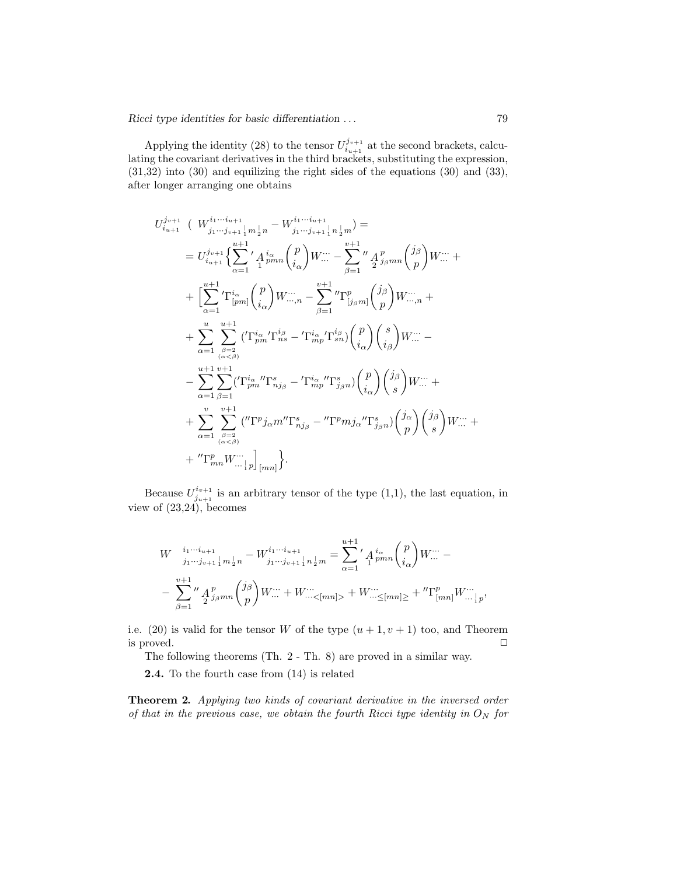Applying the identity (28) to the tensor  $U_{i_{n+1}}^{j_{n+1}}$  $i_{u+1}^{j_{v+1}}$  at the second brackets, calculating the covariant derivatives in the third brackets, substituting the expression, (31,32) into (30) and equilizing the right sides of the equations (30) and (33), after longer arranging one obtains

$$
U_{i_{u+1}}^{j_{v+1}} ( W_{j_{1}...j_{v+1}}^{i_{1}...i_{u+1}} | m_{2n}^1 - W_{j_{1}...j_{v+1}}^{i_{1}...i_{u+1}} | n_{2m}^1 ) =
$$
\n
$$
= U_{i_{u+1}}^{j_{v+1}} \Big\{ \sum_{\alpha=1}^{u+1} ' A_{pmn}^{i_{\alpha}} \binom{p}{i_{\alpha}} W_{\cdots}^{\cdots} - \sum_{\beta=1}^{v+1} '' A_{\beta,pmn}^{p} \binom{j_{\beta}}{p} W_{\cdots}^{\cdots} +
$$
\n
$$
+ \left[ \sum_{\alpha=1}^{u+1} ' \Gamma_{[pm]}^{i_{\alpha}} \binom{p}{i_{\alpha}} W_{\cdots,n}^{\cdots} - \sum_{\beta=1}^{v+1} '' \Gamma_{[j_{\beta}m]}^{p} \binom{j_{\beta}}{p} W_{\cdots,n}^{\cdots} +
$$
\n
$$
+ \sum_{\alpha=1}^{u} \sum_{\substack{\beta=2 \\ (\alpha < \beta)}}^{u+1} (Y_{pm}^{i_{\alpha}}' \Gamma_{ns}^{i_{\beta}} - Y_{mp}^{i_{\alpha}}' \Gamma_{sn}^{i_{\beta}}) \binom{p}{i_{\alpha}} \binom{s}{i_{\beta}} W_{\cdots}^{\cdots} -
$$
\n
$$
- \sum_{\alpha=1}^{u+1} \sum_{\substack{\beta=1 \\ \alpha=1}}^{v+1} (Y_{pm}^{i_{\alpha}}'' \Gamma_{nj_{\beta}}^{s} - Y_{mp}^{i_{\alpha}}'' \Gamma_{j_{\beta}n}^{s}) \binom{p}{i_{\alpha}} \binom{j_{\beta}}{s} W_{\cdots}^{\cdots} +
$$
\n
$$
+ \sum_{\alpha=1}^{v} \sum_{\substack{\beta=2 \\ (\alpha < \beta)}}^{v+1} ('' \Gamma_{j_{\alpha}}'' W_{n_{j_{\beta}}}^{s} - " \Gamma_{j_{\beta}}'' Y_{n_{j_{\beta}n}}^{s}) \binom{j_{\alpha}}{p} \binom{j_{\beta}}{s} W_{\cdots}^{\cdots} +
$$
\n
$$
+ " \Gamma_{mn}^{p} W_{\cdots}^{\cdots} |_{p} ]_{[mn]} \Big\}.
$$

Because  $U_i^{i_{v+1}}$  $j_{u+1}^{i_v+1}$  is an arbitrary tensor of the type  $(1,1)$ , the last equation, in view of (23,24), becomes

$$
W_{j_1\cdots j_{v+1}}^{i_1\cdots i_{u+1}} \n\Big|_{m_2} - W_{j_1\cdots j_{v+1}}^{i_1\cdots i_{u+1}} \n\Big|_{n_2} = \sum_{\alpha=1}^{u+1} \n\Big|_{1}^{n_1} \n\Big|_{m n} \n\Big(\n\begin{matrix}\n p \\
i_\alpha\n\end{matrix}\n\Big) W \n\cdots\n-\n\Big|_{\beta=1}^{v+1} \n\Big|_{2}^{n_1} \n\Big|_{\beta} \n\Big| W \n\cdots\n+\n\Big| W_{\cdots \leq [mn] \geq} + W_{\cdots \leq [mn] \geq} + \n\Big|_{m_1}^{n_1} \n\Big|_{m_2} W \n\cdots\n\Big|_{n_2}.
$$

i.e. (20) is valid for the tensor W of the type  $(u + 1, v + 1)$  too, and Theorem is proved.  $\Box$ 

The following theorems (Th. 2 - Th. 8) are proved in a similar way.

2.4. To the fourth case from (14) is related

Theorem 2. Applying two kinds of covariant derivative in the inversed order of that in the previous case, we obtain the fourth Ricci type identity in  $O<sub>N</sub>$  for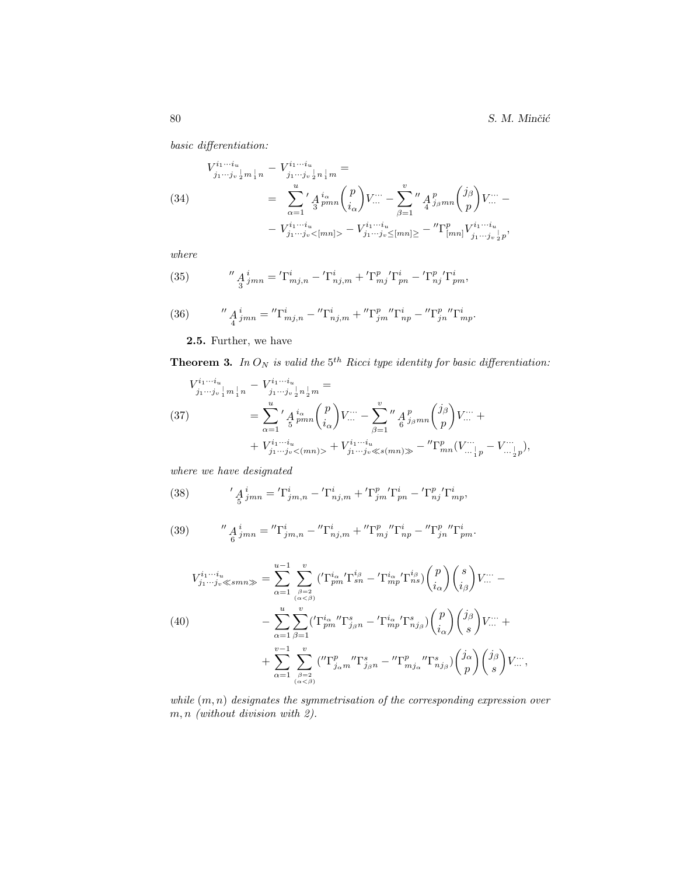basic differentiation:

$$
V_{j_1\cdots j_v}^{i_1\cdots i_u}{}_{n}{}_{n} - V_{j_1\cdots j_v}^{i_1\cdots i_u}{}_{n}{}_{n} =
$$
\n
$$
(34) \qquad = \sum_{\alpha=1}^{u} \sum_{3}^{i} \frac{A}{m} \sum_{i=1}^{i_{\alpha}} \left(\frac{p}{i_{\alpha}}\right) V_{\cdots}{}^{n} - \sum_{\beta=1}^{v} \sum_{4}^{u} \frac{A}{j_{\beta}mn} \left(\frac{j_{\beta}}{p}\right) V_{\cdots}{}^{n} - V_{j_1\cdots j_v}^{i_1\cdots i_u} - V_{j_1\cdots j_v}^{i_1\cdots i_u} \sum_{j_1\cdots j_v\leq [mn]}\n\geq -''\Gamma_{[mn]}^p V_{j_1\cdots j_v}^{i_1\cdots i_u}{}_{j_p},
$$

where

(35) 
$$
{}^{''}A_{j\,mn}^{i} = {}^{'}\Gamma^{i}_{mj,n} - {}^{'}\Gamma^{i}_{nj,m} + {}^{'}\Gamma^{p}_{mj}{}^{'}\Gamma^{i}_{pn} - {}^{'}\Gamma^{p}_{nj}{}^{'}\Gamma^{i}_{pm},
$$

(36) 
$$
{}^{''}A^{i}_{jmn} = {}^{''}\Gamma^{i}_{mj,n} - {}^{''}\Gamma^{i}_{nj,m} + {}^{''}\Gamma^{p}_{jm} {}^{''}\Gamma^{i}_{np} - {}^{''}\Gamma^{p}_{jn} {}^{''}\Gamma^{i}_{mp}.
$$

2.5. Further, we have

**Theorem 3.** In  $O_N$  is valid the 5<sup>th</sup> Ricci type identity for basic differentiation:

$$
V^{i_1 \cdots i_u}_{j_1 \cdots j_v} \Big|_{m} \Big|_{n} - V^{i_1 \cdots i_u}_{j_1 \cdots j_v} \Big|_{2} \Big|_{2} =
$$
\n
$$
(37) \qquad = \sum_{\alpha=1}^{u} \Big\langle \frac{1}{5} \iota_{pmn}^{i_{\alpha}} \Big( \frac{p}{i_{\alpha}} \Big) V^{\cdots}_{\cdots} - \sum_{\beta=1}^{v} \Big\langle \frac{1}{5} \iota_{\beta}^{n_{\beta}} \iota_{\beta}^{j_{\beta}} \Big( \frac{j_{\beta}}{p} \Big) V^{\cdots}_{\cdots} +
$$
\n
$$
+ V^{i_1 \cdots i_u}_{j_1 \cdots j_v < (mn) >} + V^{i_1 \cdots i_u}_{j_1 \cdots j_v \ll s(mn) \gg} - \Big\langle \frac{1}{1} \iota_{mn}^{p} \Big( V^{\cdots}_{\cdots} \Big|_{p} - V^{\cdots}_{\cdots} \Big|_{p} \Big),
$$

where we have designated

(38) 
$$
\frac{A_j^i}{5} j_{mn} = {}^{\prime} \Gamma^i_{jm,n} - {}^{\prime} \Gamma^i_{nj,m} + {}^{\prime} \Gamma^p_{jm} {}^{\prime} \Gamma^i_{pn} - {}^{\prime} \Gamma^p_{nj} {}^{\prime} \Gamma^i_{mp},
$$

(39) 
$$
{}^{''}A_{jmn}^{i} = {}^{''}\Gamma_{jm,n}^{i} - {}^{''}\Gamma_{nj,m}^{i} + {}^{''}\Gamma_{mj}^{p} {}^{''}\Gamma_{np}^{i} - {}^{''}\Gamma_{jn}^{p} {}^{''}\Gamma_{pm}^{i}.
$$

$$
V_{j_1\cdots j_v \ll smn\gg}^{i_1\cdots i_u} = \sum_{\alpha=1}^{u-1} \sum_{\substack{\beta=2 \ \alpha=1 \ (\alpha<\beta) \\ (\alpha<\beta) }}^{v} (T_{pm}^{i_{\alpha}} T_{sn}^{i_{\beta}} - T_{mp}^{i_{\alpha}} T_{ns}^{i_{\beta}}) \binom{p}{i_{\alpha}} \binom{s}{i_{\beta}} V_{\cdots}^{...} -
$$
  
\n
$$
- \sum_{\alpha=1}^{u} \sum_{\beta=1}^{v} (T_{pm}^{i_{\alpha}} T_{j_{\beta}n} - T_{mp}^{i_{\alpha}} T_{nj_{\beta}}) \binom{p}{i_{\alpha}} \binom{j_{\beta}}{s} V_{\cdots}^{...} +
$$
  
\n
$$
+ \sum_{\alpha=1}^{v-1} \sum_{\substack{\beta=2 \ (\alpha<\beta) }}^{v} (T_{j_{\alpha}m}^{p} T_{j_{\beta}n}^{s} - T_{mj_{\alpha}}^{p} T_{nj_{\beta}}) \binom{j_{\alpha}}{p} \binom{j_{\beta}}{s} V_{\cdots}^{...},
$$

while  $(m, n)$  designates the symmetrisation of the corresponding expression over m, n (without division with 2).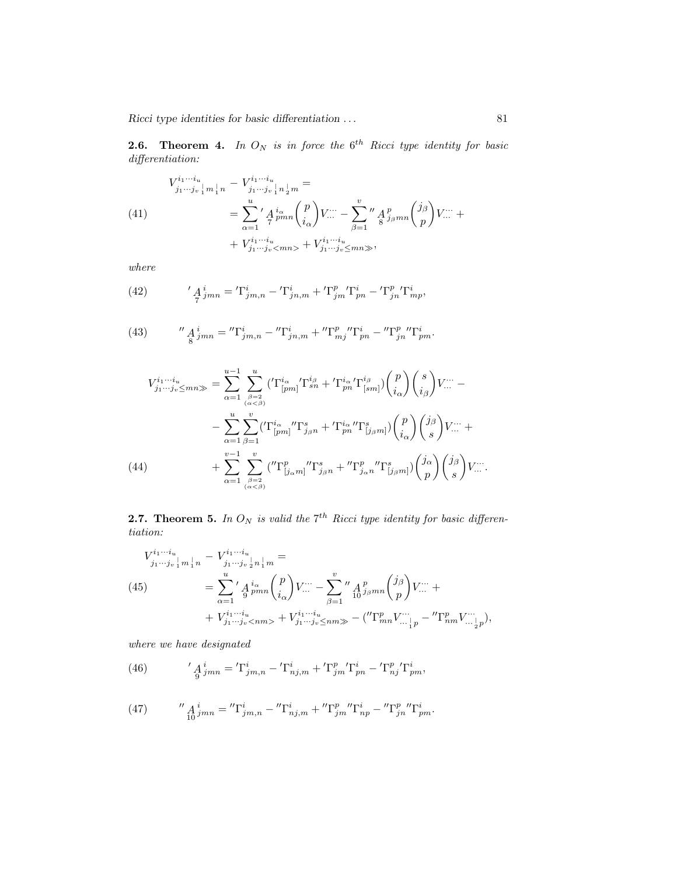**2.6.** Theorem 4. In  $O_N$  is in force the  $6^{th}$  Ricci type identity for basic differentiation:

(41)  
\n
$$
V^{i_1 \cdots i_u}_{j_1 \cdots j_v} \bigg|_{m}^{n} = V^{i_1 \cdots i_u}_{j_1 \cdots j_v} \bigg|_{n}^{n} = \sum_{\alpha=1}^{u} ' \underbrace{A}_{7}^{i_{\alpha}} \underbrace{m}_{\alpha} \left( \frac{p}{i_{\alpha}} \right) V \cdots - \sum_{\beta=1}^{v} " \underbrace{A}_{8}^{p} \underbrace{m}_{3 \beta} \underbrace{m}_{\beta} \left( \frac{j_{\beta}}{p} \right) V \cdots + V^{i_1 \cdots i_u}_{j_1 \cdots j_v \langle mn \rangle} + V^{i_1 \cdots i_u}_{j_1 \cdots j_v \langle mn \rangle},
$$

where

(42) 
$$
\frac{A_j^i}{7} j_{mn} = {}^{\prime} \Gamma^i_{jm,n} - {}^{\prime} \Gamma^i_{jn,m} + {}^{\prime} \Gamma^p_{jm} {}^{\prime} \Gamma^i_{pn} - {}^{\prime} \Gamma^p_{jn} {}^{\prime} \Gamma^i_{mp},
$$

(43) 
$$
{}^{\prime\prime}A^i_{\substack{jmn}} = {}^{\prime\prime}\Gamma^i_{jm,n} - {}^{\prime\prime}\Gamma^i_{jn,m} + {}^{\prime\prime}\Gamma^p_{mj}{}^{\prime\prime}\Gamma^i_{pn} - {}^{\prime\prime}\Gamma^p_{jn}{}^{\prime\prime}\Gamma^i_{pm}.
$$

$$
V_{j_1\cdots j_v \le mn\gg}^{i_1\cdots i_u} = \sum_{\alpha=1}^{u-1} \sum_{\substack{\beta=2 \ \alpha=1 \ (\alpha<\beta) \\ (\alpha<\beta) \\ \alpha=1}}^u \langle \Gamma_{[pm]}^{i_\alpha} \Gamma_{sn}^{i_\beta} + \Gamma_{pn}^{i_\alpha} \Gamma_{[sm]}^{i_\beta} \rangle \binom{p}{i_\alpha} \binom{s}{i_\beta} V^{\dots}_{\dots} - \sum_{\alpha=1}^u \sum_{\beta=1}^v \langle \Gamma_{[pm]}^{i_\alpha} \Gamma_{j_\beta n}^r + \Gamma_{pn}^{i_\alpha} \Gamma_{[j_\beta m]}^{s} \rangle \binom{p}{i_\alpha} \binom{j_\beta}{s} V^{\dots}_{\dots} + \sum_{\alpha=1}^{v-1} \sum_{\substack{\beta=2 \ (\alpha<\beta) \\ (\alpha<\beta)}}^v \binom{r_p}{i_\alpha m} \binom{r}{j_\beta n} + \Gamma_{j_\alpha n}^p \binom{r}{j_\beta m} \binom{j_\alpha}{p} \binom{j_\beta}{s} V^{\dots}_{\dots}.
$$

**2.7. Theorem 5.** In  $O_N$  is valid the 7<sup>th</sup> Ricci type identity for basic differentiation:

$$
V_{j_1\cdots j_v}^{i_1\cdots i_u}|_{m_1|n} - V_{j_1\cdots j_v}^{i_1\cdots i_u}|_{n_1|m} =
$$
  
(45) 
$$
= \sum_{\alpha=1}^u' A_{j\ \cdots j_v}^{i_\alpha} \left(\begin{matrix} p\\i_\alpha \end{matrix}\right) V_{\cdots} - \sum_{\beta=1}^v'' A_{j\beta m n}^{p} \left(\begin{matrix} j_\beta\\p \end{matrix}\right) V_{\cdots}^{ \cdots} +
$$

$$
+ V_{j_1\cdots j_v < nm>}^{i_1\cdots i_u} + V_{j_1\cdots j_v \le nm}^{i_1\cdots i_u} + V_{j_1\cdots j_v \le nm}^{i_1\cdots i_u} - \left( \begin{matrix} T_{m}^p V_{\cdots}^{\cdots} \\ T_{mn}^p V_{\cdots}^{\cdots} \end{matrix}\right)_{p},
$$

where we have designated

(46) 
$$
\frac{A_j^i_{jmn}}{9} = \frac{\Gamma_{jm,n}^i - \Gamma_{nj,m}^i + \Gamma_{jm}^p \Gamma_{pn}^i - \Gamma_{nj}^p \Gamma_{pm}^i}{\Gamma_{nj}^i \Gamma_{pn}^i},
$$

(47) 
$$
{}^{\prime\prime}A^i_{jmn} = {}^{\prime\prime}\Gamma^i_{jm,n} - {}^{\prime\prime}\Gamma^i_{nj,m} + {}^{\prime\prime}\Gamma^p_{jm} {}^{\prime\prime}\Gamma^i_{np} - {}^{\prime\prime}\Gamma^p_{jn} {}^{\prime\prime}\Gamma^i_{pm}.
$$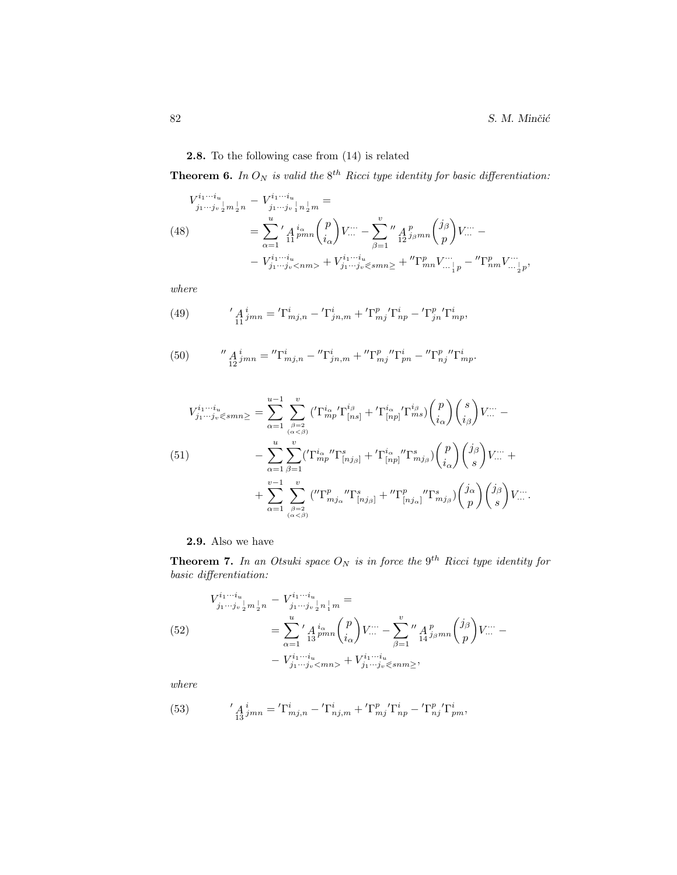### 2.8. To the following case from (14) is related

**Theorem 6.** In  $O_N$  is valid the  $8^{th}$  Ricci type identity for basic differentiation:

$$
V_{j_1\cdots j_v}^{i_1\cdots i_u}{}_{j_m}^l{}_{j_n} - V_{j_1\cdots j_v}^{i_1\cdots i_u}{}_{j_n}^l{}_{j_m} =
$$
\n
$$
(48) \qquad \qquad = \sum_{\alpha=1}^u \left( \frac{1}{11} \frac{i}{pm} \left( \frac{p}{i_{\alpha}} \right) V \cdots - \sum_{\beta=1}^v \frac{p}{12} \frac{p}{j_{\beta}mn} \left( \frac{j_{\beta}}{p} \right) V \cdots - \frac{p}{j_1\cdots j_v} \frac{j_{\beta}}{j_1\cdots j_v} \right) V \cdots - V_{j_1\cdots j_v}^{i_1\cdots i_u} - V_{j_1\cdots j_v}^{i_1\cdots i_u} \left( \frac{j_{\beta}}{j_{\beta}m} \right) V \cdots - V_{j_1\cdots j_v}^{i_1\cdots i_u} \left( \frac{j_{\beta}}{j_{\beta}m} \right) V \cdots - V_{j_1\cdots j_v}^{i_1\cdots i_u} \left( \frac{j_{\beta}}{j_{\beta}m} \right) V \cdots - V_{j_1\cdots j_v}^{i_1\cdots i_u} \left( \frac{j_{\beta}}{j_{\beta}m} \right) V \cdots - V_{j_1\cdots j_v}^{i_1\cdots i_u} \left( \frac{j_{\beta}}{j_{\beta}m} \right) V \cdots - V_{j_1\cdots j_v}^{i_1\cdots i_u} \left( \frac{j_{\beta}}{j_{\beta}m} \right) V \cdots - V_{j_1\cdots j_v}^{i_1\cdots i_u} \left( \frac{j_{\beta}}{j_{\beta}m} \right) V \cdots - V_{j_1\cdots j_v}^{i_1\cdots i_u} \left( \frac{j_{\beta}}{j_{\beta}m} \right) V \cdots - V_{j_1\cdots j_v}^{i_1\cdots i_u} \left( \frac{j_{\beta}}{j_{\beta}m} \right) V \cdots - V_{j_1\cdots j_v}^{i_1\cdots i_u} \left( \frac{j_{\beta}}{j_{\beta}m} \right) V \cdots - V_{j_1\cdots j_v}^{i_1\cdots i_u} \left( \frac{j_{\beta}}{j_{\beta}m} \right
$$

where

(49) 
$$
\int_{11}^{1} \dot{A}_{jmn}^{i} = \Gamma^{i}_{mj,n} - \Gamma^{i}_{jn,m} + \Gamma^{p}_{mj} \Gamma^{i}_{np} - \Gamma^{p}_{jn} \Gamma^{i}_{mp},
$$

(50) 
$$
{}^{\prime\prime}A_{12}^i{}_{mn} = {}^{\prime\prime}\Gamma^i_{mj,n} - {}^{\prime\prime}\Gamma^i_{jn,m} + {}^{\prime\prime}\Gamma^p_{mj}{}^{\prime\prime}\Gamma^i_{pn} - {}^{\prime\prime}\Gamma^p_{nj}{}^{\prime\prime}\Gamma^i_{mp}.
$$

$$
V_{j_1\cdots j_v \leq smn}^{i_1\cdots i_u} = \sum_{\alpha=1}^{u-1} \sum_{\substack{\beta=2 \ \alpha=1}}^{v} ({}^{\prime}\Gamma^{i_{\alpha}}_{mp}{}^{\prime}\Gamma^{i_{\beta}}_{[ns]} + {}^{\prime}\Gamma^{i_{\alpha}}_{[np]}{}^{\prime}\Gamma^{i_{\beta}}_{ms}) \binom{p}{i_{\alpha}} \binom{s}{i_{\beta}} V^{\cdots}_{\cdots} - \sum_{\alpha=1}^{u} \sum_{\beta=1}^{v} ({}^{\prime}\Gamma^{i_{\alpha}}_{mp}{}^{\prime\prime}\Gamma^{s}_{[n j_{\beta}]} + {}^{\prime}\Gamma^{i_{\alpha}}_{[np]}{}^{\prime\prime}\Gamma^{s}_{mj_{\beta}}) \binom{p}{i_{\alpha}} \binom{j_{\beta}}{s} V^{\cdots}_{\cdots} + \sum_{\alpha=1}^{v-1} \sum_{\substack{\beta=2 \ \alpha<\beta}}^{v} ({}^{\prime\prime}\Gamma^{p}_{mj_{\alpha}}{}^{\prime\prime}\Gamma^{s}_{[nj_{\beta}]} + {}^{\prime\prime}\Gamma^{p}_{[nj_{\alpha}]}{}^{\prime\prime}\Gamma^{s}_{mj_{\beta}}) \binom{j_{\alpha}}{p} \binom{j_{\beta}}{s} V^{\cdots}_{\cdots}.
$$

### 2.9. Also we have

**Theorem 7.** In an Otsuki space  $O<sub>N</sub>$  is in force the 9<sup>th</sup> Ricci type identity for basic differentiation:

(52)  
\n
$$
V^{i_1 \cdots i_u}_{j_1 \cdots j_v}{}_{\frac{1}{2}n} - V^{i_1 \cdots i_u}_{j_1 \cdots j_v}{}_{\frac{1}{2}n}{}_{\frac{1}{2}m} =
$$
\n
$$
= \sum_{\alpha=1}^u' \frac{A}{13}{}^{i_\alpha}_{pmn} \binom{p}{i_\alpha} V^{\cdots}_{\cdots} - \sum_{\beta=1}^v'' \frac{A}{14}{}^{p}_{j_pmn} \binom{j_\beta}{p} V^{\cdots}_{\cdots} - V^{i_1 \cdots i_u}_{j_1 \cdots j_v < mn} + V^{i_1 \cdots i_u}_{j_1 \cdots j_v < smm} \geq 0,
$$

where

(53) 
$$
{}^{'}A^{i}_{13}{}^{j}_{mn} = {}^{'}\Gamma^{i}_{mj,n} - {}^{'}\Gamma^{i}_{nj,m} + {}^{'}\Gamma^{p}_{mj}{}^{'}\Gamma^{i}_{np} - {}^{'}\Gamma^{p}_{nj}{}^{'}\Gamma^{i}_{pm},
$$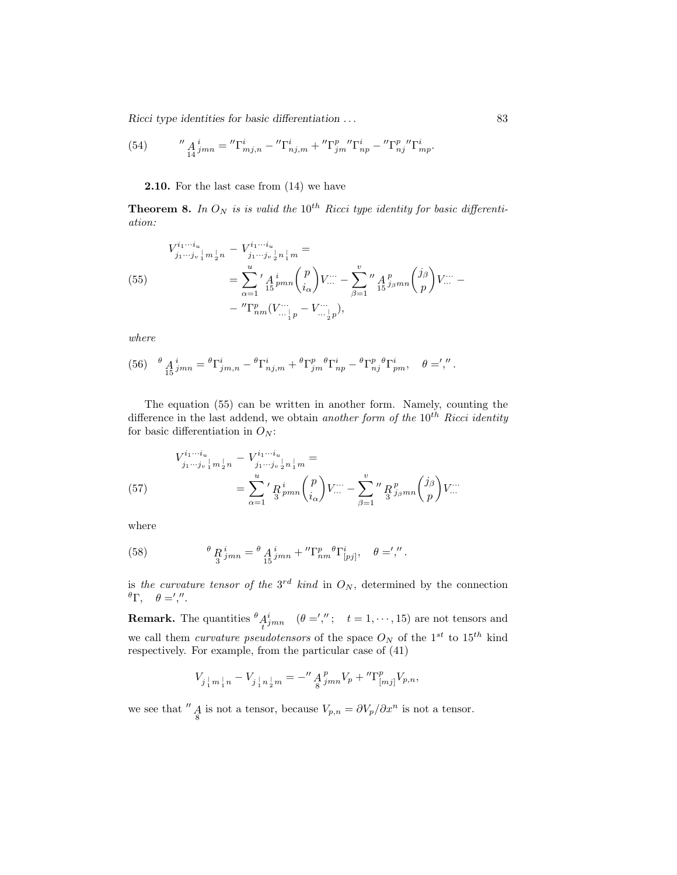Ricci type identities for basic differentiation . . . 83

(54) 
$$
{}^{''}A^{i}_{14}{}^{j}_{mn} = {}^{''}\Gamma^{i}_{mj,n} - {}^{''}\Gamma^{i}_{nj,m} + {}^{''}\Gamma^{p}_{jm} {}^{''}\Gamma^{i}_{np} - {}^{''}\Gamma^{p}_{nj} {}^{''}\Gamma^{i}_{mp}.
$$

#### 2.10. For the last case from (14) we have

**Theorem 8.** In  $O_N$  is is valid the 10<sup>th</sup> Ricci type identity for basic differentiation:

V i1···i<sup>u</sup> j1···j<sup>v</sup> | <sup>1</sup> <sup>m</sup> <sup>|</sup> <sup>2</sup> n − V i1···i<sup>u</sup> j1···j<sup>v</sup> | <sup>2</sup> n | <sup>1</sup> m = = X<sup>u</sup> α=1 0 A 15 i pmnµ p iα ¶ V ··· ··· − X<sup>v</sup> β=1 <sup>00</sup> A 15 p <sup>j</sup>βmn<sup>µ</sup> jβ p ¶ V ··· (55) ··· − − 00Γ p nm(V ··· ··· 1 p − V ··· ··· 2 p ),

where

(56) 
$$
\frac{\theta}{15} A_{jmn}^i = \frac{\theta \Gamma_{jm,n}^i}{\theta \Gamma_{m,n}^i} - \frac{\theta \Gamma_{nj,m}^i}{\theta \Gamma_{jm}^p} + \frac{\theta \Gamma_{jm}^p}{\theta \Gamma_{np}^i} - \frac{\theta \Gamma_{nj}^p}{\theta \Gamma_{pm}^i}, \quad \theta = \frac{\theta}{15}.
$$

The equation (55) can be written in another form. Namely, counting the difference in the last addend, we obtain another form of the  $10^{th}$  Ricci identity for basic differentiation in  $O_N$ :

(57) 
$$
V_{j_1 \cdots j_v}^{i_1 \cdots i_u} \Big|_{m \geq n} - V_{j_1 \cdots j_v}^{i_1 \cdots i_u} \Big|_{n} = \sum_{\alpha=1}^u \left( \frac{R}{3} \right)^i P_{mn} \left( \frac{p}{i_\alpha} \right) V_{\cdots} \Big|_{\beta=1} - \sum_{\beta=1}^v \left( \frac{R}{3} \right)^i P_{mn} \left( \frac{j_\beta}{p} \right) V_{\cdots} \Big|_{\beta=1}.
$$

where

(58) 
$$
\theta \underset{3}{R}^{i}_{jmn} = \frac{\theta}{15} \underset{15}{A}^{i}_{jmn} + \mathrm{''}\Gamma^{p}_{nm} \theta \Gamma^{i}_{[pj]}, \quad \theta = \mathrm{''} \mathrm{''}.
$$

is the curvature tensor of the  $3^{rd}$  kind in  $O_N$ , determined by the connection  $^{\theta}$ Γ, θ =',''.

**Remark.** The quantities  $^{\theta}$ A  $j_{mn}$   $(\theta =', ''; t = 1, \dots, 15)$  are not tensors and we call them *curvature pseudotensors* of the space  $O<sub>N</sub>$  of the 1<sup>st</sup> to 15<sup>th</sup> kind respectively. For example, from the particular case of (41)

$$
V_{j\;\rule{0pt}{3pt}_1m\;\rule{0pt}{3pt}_1n}\ -\ V_{j\;\rule{0pt}{3pt}_1n\;\rule{0pt}{3pt}_2m}\ =\ -''\,A_{j\;mn}^{\,p}V_p+\hskip.7pt''\Gamma_{[mj]}^{\,p}V_{p,n},
$$

we see that  $''\underset{8}{A}$  is not a tensor, because  $V_{p,n} = \frac{\partial V_p}{\partial x^n}$  is not a tensor.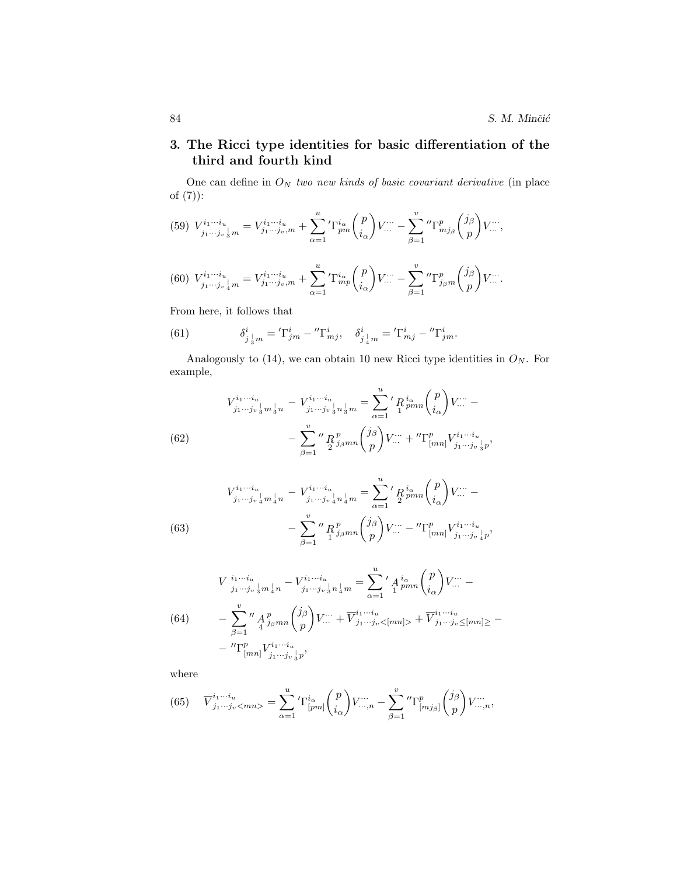# 3. The Ricci type identities for basic differentiation of the third and fourth kind

One can define in  $O<sub>N</sub>$  two new kinds of basic covariant derivative (in place of (7)):

$$
(59) V^{i_1 \cdots i_u}_{j_1 \cdots j_v \, \frac{1}{3}m} = V^{i_1 \cdots i_u}_{j_1 \cdots j_v, m} + \sum_{\alpha=1}^u {}' \Gamma^i_{pm} {p \choose i_\alpha} V^{\cdots}_{\cdots} - \sum_{\beta=1}^v {}'' \Gamma^p_{m j_\beta} {j_\beta \choose p} V^{\cdots}_{\cdots},
$$

(60) 
$$
V_{j_1...j_v}^{i_1...i_u} = V_{j_1...j_v,m}^{i_1...i_u} + \sum_{\alpha=1}^u T_{mp}^{i_\alpha} {p \choose i_\alpha} V_{...}^{...} - \sum_{\beta=1}^v T_{j_\beta m}^p {j_\beta \choose p} V_{...}^{...}.
$$

From here, it follows that

(61) 
$$
\delta^i_{j \, \frac{1}{3}m} = {}^{\prime}\Gamma^i_{jm} - {}^{\prime\prime}\Gamma^i_{mj}, \quad \delta^i_{j \, \frac{1}{4}m} = {}^{\prime}\Gamma^i_{mj} - {}^{\prime\prime}\Gamma^i_{jm}.
$$

Analogously to (14), we can obtain 10 new Ricci type identities in  $O<sub>N</sub>$ . For example,

(62) 
$$
V_{j_1 \cdots j_v}^{i_1 \cdots i_u}_{j_1 \cdots j_v} \frac{1}{3} n - V_{j_1 \cdots j_v}^{i_1 \cdots i_u}_{j_1 \cdots j_v} \frac{1}{3} n \frac{1}{3} m = \sum_{\alpha=1}^u {}'_{1} R_{pmn}^{i_{\alpha}} {p \choose i_{\alpha}} V \cdots - \sum_{\beta=1}^v {}''_{2} R_{j_{\beta}mn}^{p} {j_{\beta} \choose p} V \cdots + {}'' \Gamma_{[mn]}^{p} V_{j_1 \cdots j_v}^{i_1 \cdots i_u}{}_{j_p},
$$

(63) 
$$
V_{j_1\cdots j_{v}}^{i_1\cdots i_{u}}{}_{n}{}_{n} - V_{j_1\cdots j_{v}}^{i_1\cdots i_{u}}{}_{n}{}_{n} = \sum_{\alpha=1}^{u}{}'_{2} P_{pmn} \binom{p}{i_{\alpha}} V_{\cdots}^{...} - \sum_{\beta=1}^{v}{}''_{1} R_{j_{\beta}mn}^{p} \binom{j_{\beta}}{p} V_{\cdots}^{...} - {}''\Gamma_{[mn]}^{p} V_{j_1\cdots j_{v}}^{i_1\cdots i_{u}}{}_{p},
$$

$$
V_{j_1\cdots j_v}^{i_1\cdots i_u}|_{j_1\cdots j_v} - V_{j_1\cdots j_v}^{i_1\cdots i_u}|_{j_1\cdots j_v} = \sum_{\alpha=1}^u' A_{pmn}^{i_\alpha} {p \choose i_\alpha} V^{\cdots}_{\cdots} -
$$
  
(64) 
$$
- \sum_{\beta=1}^v'' A_{j_\beta mn}^p {j_\beta \choose p} V^{\cdots}_{\cdots} + \overline{V}_{j_1\cdots j_v < [mn]>}^{i_1\cdots i_u} + \overline{V}_{j_1\cdots j_v \le [mn]}\times [-W^p_{[mn]} V_{j_1\cdots j_v}^{i_1\cdots i_u}]
$$

$$
- \sum_{\beta=1}^v W^p_{[mn]} V_{j_1\cdots j_v}^{i_1\cdots i_u}.
$$

where

(65) 
$$
\overline{V}_{j_1\cdots j_v < mn}^{i_1\cdots i_u} = \sum_{\alpha=1}^u {}' \Gamma_{[pm]}^{i_\alpha} {p \choose i_\alpha} V^{\cdots}_{\cdots,n} - \sum_{\beta=1}^v {}'' \Gamma_{[mj_\beta]}^p {j_\beta \choose p} V^{\cdots}_{\cdots,n},
$$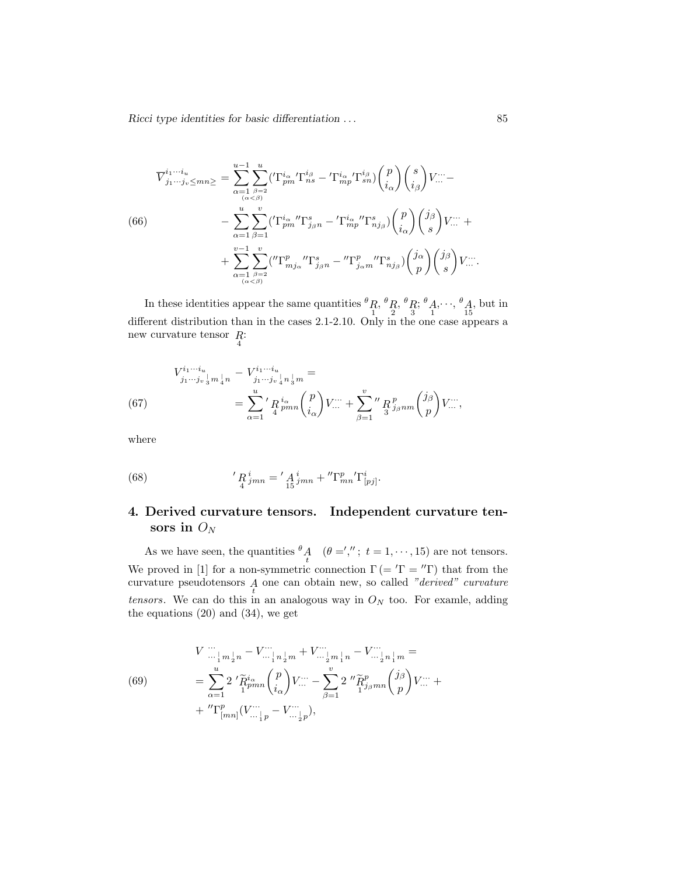Ricci type identities for basic differentiation . . . 85

$$
\overline{V}^{i_1\cdots i_u}_{j_1\cdots j_v \leq mn} = \sum_{\alpha=1}^{u-1} \sum_{\beta=2}^{u} \langle \Gamma^{i_{\alpha}}_{pm} \Gamma^{i_{\beta}}_{ns} - \Gamma^{i_{\alpha}}_{mp} \Gamma^{i_{\beta}}_{sn} \rangle \binom{p}{i_{\alpha}} \binom{s}{i_{\beta}} V^{\cdots}_{\cdots} - \sum_{\alpha=1}^{u} \sum_{\beta=1}^{v} \langle \Gamma^{i_{\alpha}}_{pm} \Gamma^{s}_{j_{\beta}n} - \Gamma^{i_{\alpha}}_{mp} \Gamma^{s}_{nj_{\beta}} \rangle \binom{p}{i_{\alpha}} \binom{j_{\beta}}{s} V^{\cdots}_{\cdots} + \sum_{\alpha=1}^{v-1} \sum_{\beta=2}^{v} \langle \Gamma^{p}_{mp} \rangle^{m} \Gamma^{s}_{nj_{\beta}n} - \Gamma^{p}_{j_{\alpha}m} \Gamma^{s}_{nj_{\beta}n} \binom{j_{\alpha}}{p} \binom{j_{\beta}}{s} V^{\cdots}_{\cdots}.
$$

In these identities appear the same quantities  ${}^{\theta}R, {}^{\theta}R, {}^{\theta}R, {}^{\theta}A, {}^{\theta}A, \cdots, {}^{\theta}A,$  but in different distribution than in the cases 2.1-2.10. Only in the one case appears a new curvature tensor R: 4

(67) 
$$
V_{j_1 \cdots j_v}^{i_1 \cdots i_u}{}_{m}{}_{n}{}_{n} - V_{j_1 \cdots j_v}^{i_1 \cdots i_u}{}_{n}{}_{3m} =
$$

$$
= \sum_{\alpha=1}^{u} {}'_{4} R_{pmn}^{i_{\alpha}} {p \choose i_{\alpha}} V \cdots + \sum_{\beta=1}^{v} {}''_{3} R_{j_{\beta}nm}^{p} {j_{\beta} \choose p} V \cdots,
$$

where

(68) 
$$
{}^{'}F_{4\,jmn} = {}^{'}F_{15\,jmn} + {}^{'}F_{mn}^p T_{[pj]}^i.
$$

## 4. Derived curvature tensors. Independent curvature tensors in  $O_N$

As we have seen, the quantities  ${}^{\theta}A \quad (\theta = ', '' ; t = 1, \cdots, 15)$  are not tensors. We proved in [1] for a non-symmetric connection  $\Gamma$  (=  $\Gamma$  =  $\Gamma$ ) that from the curvature pseudotensors  $\underset{t}{A}$  one can obtain new, so called "derived" curvature tensors. We can do this in an analogous way in  $O<sub>N</sub>$  too. For examle, adding the equations (20) and (34), we get

V ··· ··· | <sup>1</sup> <sup>m</sup> <sup>|</sup> <sup>2</sup> n − V ··· ··· <sup>1</sup> n | <sup>2</sup> m + V ··· ··· | <sup>2</sup> <sup>m</sup> <sup>|</sup> <sup>1</sup> n − V ··· ··· <sup>2</sup> n | <sup>1</sup> m = = X<sup>u</sup> α=1 2 0Re 1 iα pmnµ p iα ¶ V ··· ··· − X<sup>v</sup> β=1 2 <sup>00</sup>Re 1 p <sup>j</sup>βmn<sup>µ</sup> jβ p ¶ V ··· ··· +(69) + 00Γ p [mn] (V ··· ··· 1 p − V ··· ··· | 2 p ),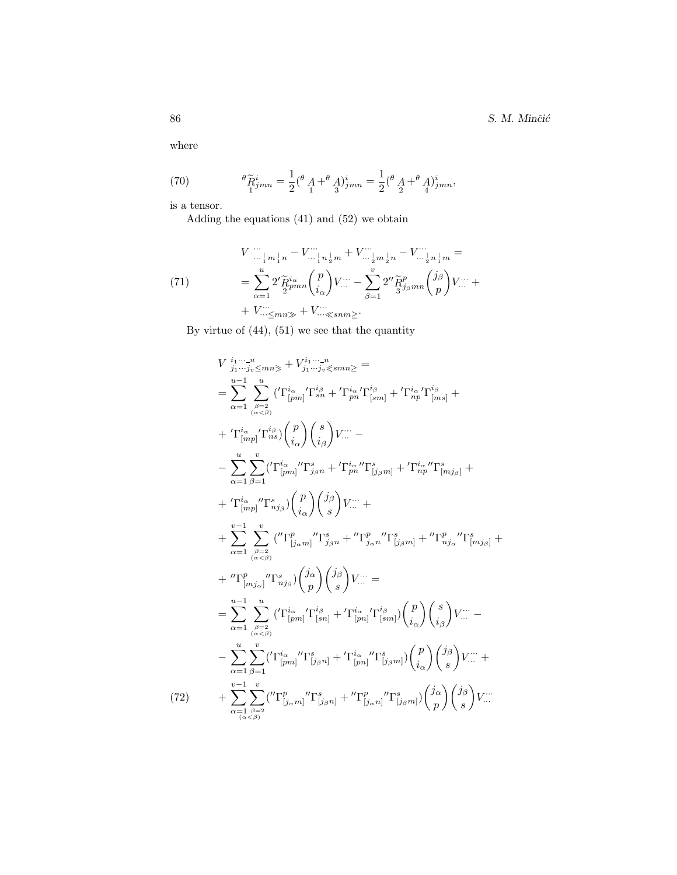where

(70) 
$$
\theta \widetilde{R}_{jmn}^i = \frac{1}{2} (\theta A + \theta A)_{jmn}^i = \frac{1}{2} (\theta A + \theta A)_{jmn}^i,
$$

is a tensor.

Adding the equations (41) and (52) we obtain

V ··· ··· <sup>1</sup> <sup>m</sup> <sup>|</sup> <sup>1</sup> n − V ··· ··· <sup>1</sup> n <sup>2</sup> m + V ··· ··· | <sup>2</sup> <sup>m</sup> <sup>|</sup> <sup>2</sup> n − V ··· ··· <sup>2</sup> n <sup>1</sup> m = = X<sup>u</sup> α=1 2 0Re 2 iα pmnµ p iα ¶ V ··· ··· − X<sup>v</sup> β=1 2 <sup>00</sup>Re 3 p <sup>j</sup>βmn<sup>µ</sup> jβ p ¶ V ··· ··· +(71) + V ··· ···≤mn<sup>À</sup> + V ··· ···¿snm≥.

By virtue of (44), (51) we see that the quantity

$$
V_{j_1\cdots j_v\leq mn\geq}^{i_1\cdots i_w\leq mn\geq} + V_{j_1\cdots j_v\leq smn\geq}^{i_1\cdots i_w\leq smn\geq} =
$$
\n
$$
= \sum_{\alpha=1}^{u-1} \sum_{\substack{\beta=2 \\ (\alpha<\beta) \\ (\alpha<\beta) }}^{u} (T_{[pm]}^{i_{\alpha}} T_{sn}^{i_{\beta}} + T_{pn}^{i_{\alpha}} T_{[sm]}^{i_{\beta}} + T_{np}^{i_{\alpha}} T_{[ms]}^{i_{\beta}} +
$$
\n
$$
+ T_{[mp]}^{i_{\alpha}} T_{ns}^{i_{\beta}} \Big( \frac{p}{i_{\alpha}} \Big) \Big( \frac{s}{i_{\beta}} \Big) V_{\cdots}^{...} -
$$
\n
$$
- \sum_{\alpha=1}^{u} \sum_{\beta=1}^{v} (T_{[pm]}^{i_{\alpha}} T_{j_{\beta}n}^{*} + T_{pn}^{i_{\alpha}} T_{[j_{\beta}m]}^{s} + T_{np}^{i_{\alpha}} T_{[mj_{\beta}]}^{s} +
$$
\n
$$
+ T_{[mp]}^{i_{\alpha}} T_{nj_{\beta}}^{*} \Big( \frac{p}{i_{\alpha}} \Big) \Big( \frac{j_{\beta}}{s} \Big) V_{\cdots}^{...} +
$$
\n
$$
+ \sum_{\alpha=1}^{v-1} \sum_{\substack{\beta=2 \\ (\alpha<\beta) \\ (\alpha<\beta) }}^{v} (T_{[jm]}^{p} T_{j_{\beta}n}^{*} + T_{j_{\alpha}}^{p} T_{[jm]}^{s} + T_{[jm]}^{s} T_{[jm]}^{s} + T_{[m_{\alpha}}^{p} T_{[jm]}^{s} +
$$
\n
$$
+ T_{[mj_{\alpha}]}^{p} T_{[mj_{\beta}]}^{s} \Big( \frac{j_{\alpha}}{p} \Big) \Big( \frac{j_{\beta}}{s} \Big) V_{\cdots}^{...} =
$$
\n
$$
= \sum_{\alpha=1}^{u-1} \sum_{\substack{\beta=2 \\ (\alpha<\beta) \\ (\alpha<\beta) }}^{u} (T_{[pm]}^{i_{\alpha}} T_{[jm]}^{i_{\beta}} + T_{[pn]}^{i_{\alpha}} T_{[jm]}^{i_{\beta}}) \Big( \frac{p}{
$$